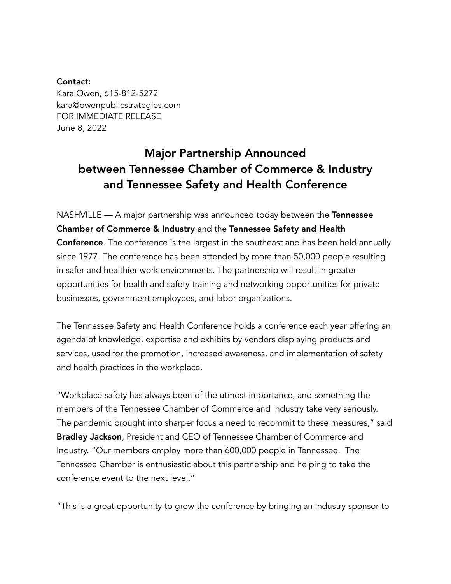## Contact:

Kara Owen, 615-812-5272 kara@owenpublicstrategies.com FOR IMMEDIATE RELEASE June 8, 2022

## Major Partnership Announced between Tennessee Chamber of Commerce & Industry and Tennessee Safety and Health Conference

NASHVILLE — A major partnership was announced today between the Tennessee Chamber of Commerce & Industry and the Tennessee Safety and Health Conference. The conference is the largest in the southeast and has been held annually since 1977. The conference has been attended by more than 50,000 people resulting in safer and healthier work environments. The partnership will result in greater opportunities for health and safety training and networking opportunities for private businesses, government employees, and labor organizations.

The Tennessee Safety and Health Conference holds a conference each year offering an agenda of knowledge, expertise and exhibits by vendors displaying products and services, used for the promotion, increased awareness, and implementation of safety and health practices in the workplace.

"Workplace safety has always been of the utmost importance, and something the members of the Tennessee Chamber of Commerce and Industry take very seriously. The pandemic brought into sharper focus a need to recommit to these measures," said Bradley Jackson, President and CEO of Tennessee Chamber of Commerce and Industry. "Our members employ more than 600,000 people in Tennessee. The Tennessee Chamber is enthusiastic about this partnership and helping to take the conference event to the next level."

"This is a great opportunity to grow the conference by bringing an industry sponsor to